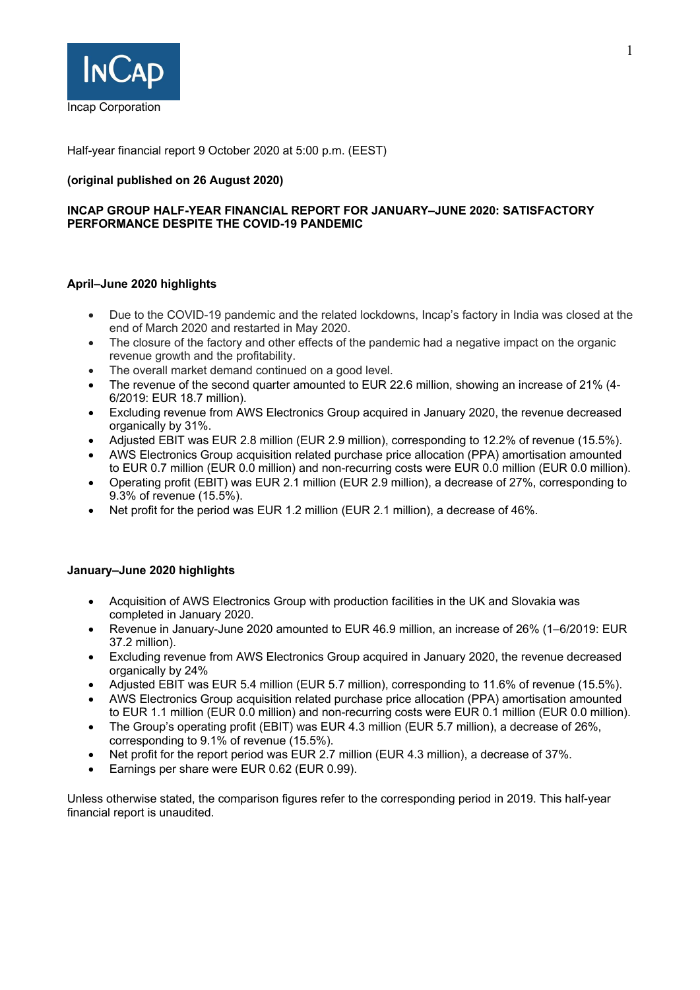

Half-year financial report 9 October 2020 at 5:00 p.m. (EEST)

## **(original published on 26 August 2020)**

## **INCAP GROUP HALF-YEAR FINANCIAL REPORT FOR JANUARY–JUNE 2020: SATISFACTORY PERFORMANCE DESPITE THE COVID-19 PANDEMIC**

## **April–June 2020 highlights**

- Due to the COVID-19 pandemic and the related lockdowns, Incap's factory in India was closed at the end of March 2020 and restarted in May 2020.
- The closure of the factory and other effects of the pandemic had a negative impact on the organic revenue growth and the profitability.
- The overall market demand continued on a good level.
- The revenue of the second quarter amounted to EUR 22.6 million, showing an increase of 21% (4- 6/2019: EUR 18.7 million).
- Excluding revenue from AWS Electronics Group acquired in January 2020, the revenue decreased organically by 31%.
- Adjusted EBIT was EUR 2.8 million (EUR 2.9 million), corresponding to 12.2% of revenue (15.5%).
- AWS Electronics Group acquisition related purchase price allocation (PPA) amortisation amounted to EUR 0.7 million (EUR 0.0 million) and non-recurring costs were EUR 0.0 million (EUR 0.0 million).
- Operating profit (EBIT) was EUR 2.1 million (EUR 2.9 million), a decrease of 27%, corresponding to 9.3% of revenue (15.5%).
- Net profit for the period was EUR 1.2 million (EUR 2.1 million), a decrease of 46%.

## **January–June 2020 highlights**

- Acquisition of AWS Electronics Group with production facilities in the UK and Slovakia was completed in January 2020.
- Revenue in January-June 2020 amounted to EUR 46.9 million, an increase of 26% (1–6/2019: EUR 37.2 million).
- Excluding revenue from AWS Electronics Group acquired in January 2020, the revenue decreased organically by 24%
- Adjusted EBIT was EUR 5.4 million (EUR 5.7 million), corresponding to 11.6% of revenue (15.5%).
- AWS Electronics Group acquisition related purchase price allocation (PPA) amortisation amounted to EUR 1.1 million (EUR 0.0 million) and non-recurring costs were EUR 0.1 million (EUR 0.0 million).
- The Group's operating profit (EBIT) was EUR 4.3 million (EUR 5.7 million), a decrease of 26%, corresponding to 9.1% of revenue (15.5%).
- Net profit for the report period was EUR 2.7 million (EUR 4.3 million), a decrease of 37%.
- Earnings per share were EUR 0.62 (EUR 0.99).

Unless otherwise stated, the comparison figures refer to the corresponding period in 2019. This half-year financial report is unaudited.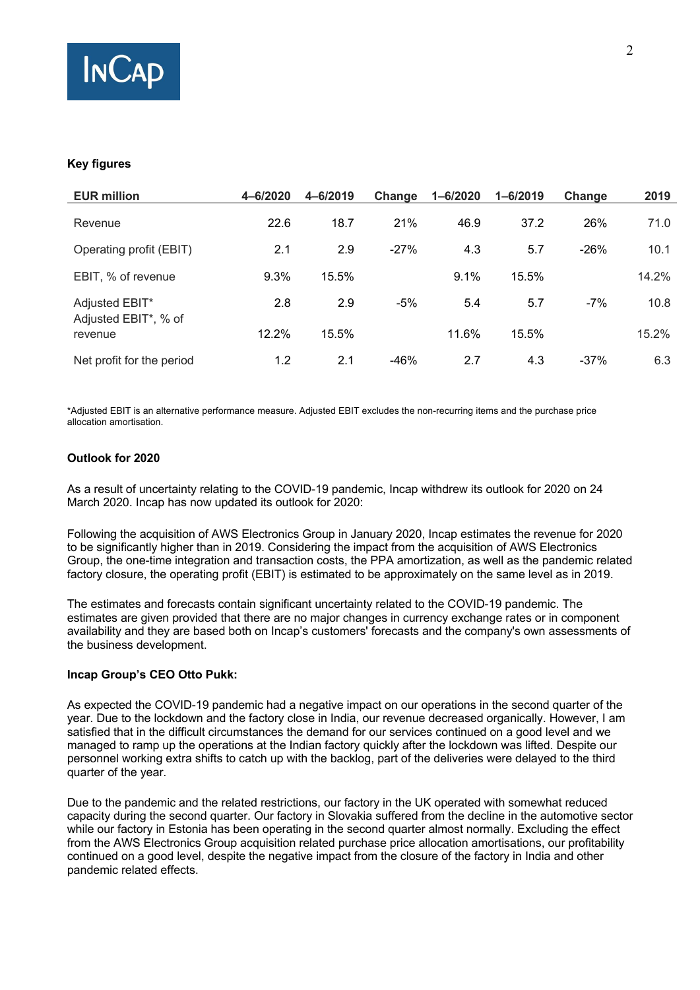

## **Key figures**

| <b>EUR million</b>                     | 4-6/2020 | 4-6/2019 | Change | $1 - 6/2020$ | $1 - 6/2019$ | Change | 2019  |
|----------------------------------------|----------|----------|--------|--------------|--------------|--------|-------|
| Revenue                                | 22.6     | 18.7     | 21%    | 46.9         | 37.2         | 26%    | 71.0  |
| Operating profit (EBIT)                | 2.1      | 2.9      | $-27%$ | 4.3          | 5.7          | $-26%$ | 10.1  |
| EBIT, % of revenue                     | 9.3%     | 15.5%    |        | 9.1%         | 15.5%        |        | 14.2% |
| Adjusted EBIT*<br>Adjusted EBIT*, % of | 2.8      | 2.9      | $-5%$  | 5.4          | 5.7          | $-7%$  | 10.8  |
| revenue                                | 12.2%    | 15.5%    |        | 11.6%        | 15.5%        |        | 15.2% |
| Net profit for the period              | 1.2      | 2.1      | $-46%$ | 2.7          | 4.3          | $-37%$ | 6.3   |

\*Adjusted EBIT is an alternative performance measure. Adjusted EBIT excludes the non-recurring items and the purchase price allocation amortisation.

## **Outlook for 2020**

As a result of uncertainty relating to the COVID-19 pandemic, Incap withdrew its outlook for 2020 on 24 March 2020. Incap has now updated its outlook for 2020:

Following the acquisition of AWS Electronics Group in January 2020, Incap estimates the revenue for 2020 to be significantly higher than in 2019. Considering the impact from the acquisition of AWS Electronics Group, the one-time integration and transaction costs, the PPA amortization, as well as the pandemic related factory closure, the operating profit (EBIT) is estimated to be approximately on the same level as in 2019.

The estimates and forecasts contain significant uncertainty related to the COVID-19 pandemic. The estimates are given provided that there are no major changes in currency exchange rates or in component availability and they are based both on Incap's customers' forecasts and the company's own assessments of the business development.

#### **Incap Group's CEO Otto Pukk:**

As expected the COVID-19 pandemic had a negative impact on our operations in the second quarter of the year. Due to the lockdown and the factory close in India, our revenue decreased organically. However, I am satisfied that in the difficult circumstances the demand for our services continued on a good level and we managed to ramp up the operations at the Indian factory quickly after the lockdown was lifted. Despite our personnel working extra shifts to catch up with the backlog, part of the deliveries were delayed to the third quarter of the year.

Due to the pandemic and the related restrictions, our factory in the UK operated with somewhat reduced capacity during the second quarter. Our factory in Slovakia suffered from the decline in the automotive sector while our factory in Estonia has been operating in the second quarter almost normally. Excluding the effect from the AWS Electronics Group acquisition related purchase price allocation amortisations, our profitability continued on a good level, despite the negative impact from the closure of the factory in India and other pandemic related effects.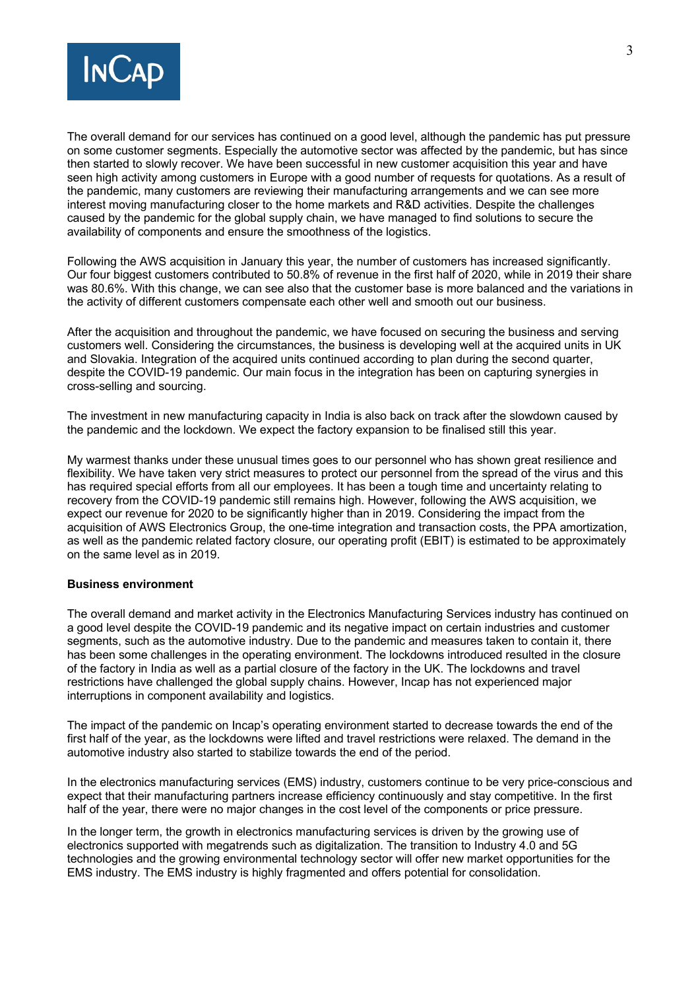

The overall demand for our services has continued on a good level, although the pandemic has put pressure on some customer segments. Especially the automotive sector was affected by the pandemic, but has since then started to slowly recover. We have been successful in new customer acquisition this year and have seen high activity among customers in Europe with a good number of requests for quotations. As a result of the pandemic, many customers are reviewing their manufacturing arrangements and we can see more interest moving manufacturing closer to the home markets and R&D activities. Despite the challenges caused by the pandemic for the global supply chain, we have managed to find solutions to secure the availability of components and ensure the smoothness of the logistics.

Following the AWS acquisition in January this year, the number of customers has increased significantly. Our four biggest customers contributed to 50.8% of revenue in the first half of 2020, while in 2019 their share was 80.6%. With this change, we can see also that the customer base is more balanced and the variations in the activity of different customers compensate each other well and smooth out our business.

After the acquisition and throughout the pandemic, we have focused on securing the business and serving customers well. Considering the circumstances, the business is developing well at the acquired units in UK and Slovakia. Integration of the acquired units continued according to plan during the second quarter, despite the COVID-19 pandemic. Our main focus in the integration has been on capturing synergies in cross-selling and sourcing.

The investment in new manufacturing capacity in India is also back on track after the slowdown caused by the pandemic and the lockdown. We expect the factory expansion to be finalised still this year.

My warmest thanks under these unusual times goes to our personnel who has shown great resilience and flexibility. We have taken very strict measures to protect our personnel from the spread of the virus and this has required special efforts from all our employees. It has been a tough time and uncertainty relating to recovery from the COVID-19 pandemic still remains high. However, following the AWS acquisition, we expect our revenue for 2020 to be significantly higher than in 2019. Considering the impact from the acquisition of AWS Electronics Group, the one-time integration and transaction costs, the PPA amortization, as well as the pandemic related factory closure, our operating profit (EBIT) is estimated to be approximately on the same level as in 2019.

#### **Business environment**

The overall demand and market activity in the Electronics Manufacturing Services industry has continued on a good level despite the COVID-19 pandemic and its negative impact on certain industries and customer segments, such as the automotive industry. Due to the pandemic and measures taken to contain it, there has been some challenges in the operating environment. The lockdowns introduced resulted in the closure of the factory in India as well as a partial closure of the factory in the UK. The lockdowns and travel restrictions have challenged the global supply chains. However, Incap has not experienced major interruptions in component availability and logistics.

The impact of the pandemic on Incap's operating environment started to decrease towards the end of the first half of the year, as the lockdowns were lifted and travel restrictions were relaxed. The demand in the automotive industry also started to stabilize towards the end of the period.

In the electronics manufacturing services (EMS) industry, customers continue to be very price-conscious and expect that their manufacturing partners increase efficiency continuously and stay competitive. In the first half of the year, there were no major changes in the cost level of the components or price pressure.

In the longer term, the growth in electronics manufacturing services is driven by the growing use of electronics supported with megatrends such as digitalization. The transition to Industry 4.0 and 5G technologies and the growing environmental technology sector will offer new market opportunities for the EMS industry. The EMS industry is highly fragmented and offers potential for consolidation.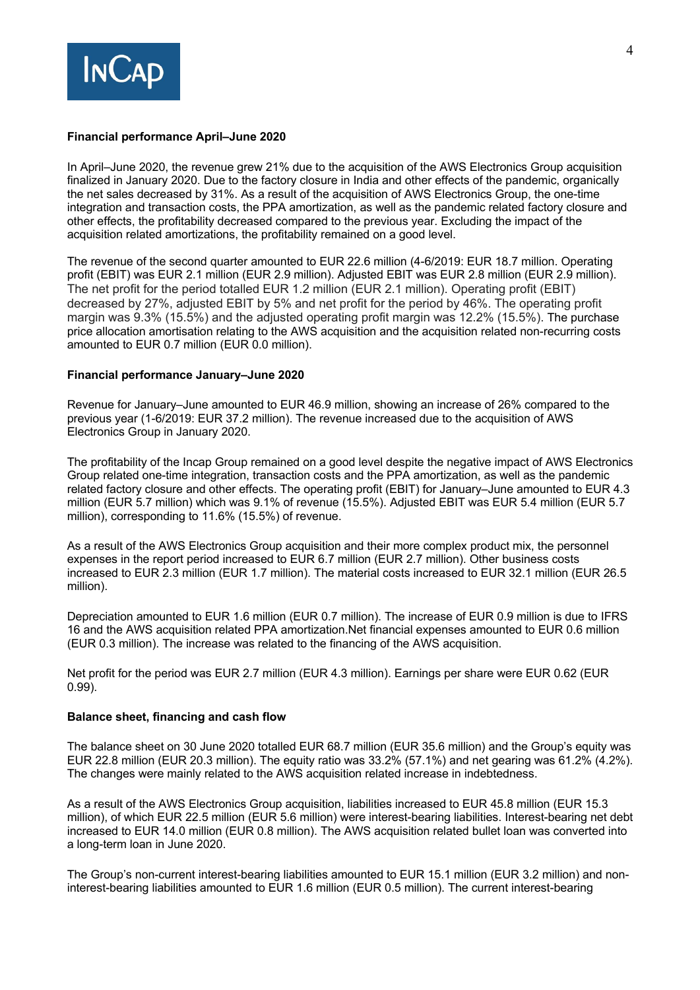

## **Financial performance April–June 2020**

In April–June 2020, the revenue grew 21% due to the acquisition of the AWS Electronics Group acquisition finalized in January 2020. Due to the factory closure in India and other effects of the pandemic, organically the net sales decreased by 31%. As a result of the acquisition of AWS Electronics Group, the one-time integration and transaction costs, the PPA amortization, as well as the pandemic related factory closure and other effects, the profitability decreased compared to the previous year. Excluding the impact of the acquisition related amortizations, the profitability remained on a good level.

The revenue of the second quarter amounted to EUR 22.6 million (4-6/2019: EUR 18.7 million. Operating profit (EBIT) was EUR 2.1 million (EUR 2.9 million). Adjusted EBIT was EUR 2.8 million (EUR 2.9 million). The net profit for the period totalled EUR 1.2 million (EUR 2.1 million). Operating profit (EBIT) decreased by 27%, adjusted EBIT by 5% and net profit for the period by 46%. The operating profit margin was 9.3% (15.5%) and the adjusted operating profit margin was 12.2% (15.5%). The purchase price allocation amortisation relating to the AWS acquisition and the acquisition related non-recurring costs amounted to EUR 0.7 million (EUR 0.0 million).

### **Financial performance January–June 2020**

Revenue for January–June amounted to EUR 46.9 million, showing an increase of 26% compared to the previous year (1-6/2019: EUR 37.2 million). The revenue increased due to the acquisition of AWS Electronics Group in January 2020.

The profitability of the Incap Group remained on a good level despite the negative impact of AWS Electronics Group related one-time integration, transaction costs and the PPA amortization, as well as the pandemic related factory closure and other effects. The operating profit (EBIT) for January–June amounted to EUR 4.3 million (EUR 5.7 million) which was 9.1% of revenue (15.5%). Adjusted EBIT was EUR 5.4 million (EUR 5.7 million), corresponding to 11.6% (15.5%) of revenue.

As a result of the AWS Electronics Group acquisition and their more complex product mix, the personnel expenses in the report period increased to EUR 6.7 million (EUR 2.7 million). Other business costs increased to EUR 2.3 million (EUR 1.7 million). The material costs increased to EUR 32.1 million (EUR 26.5 million).

Depreciation amounted to EUR 1.6 million (EUR 0.7 million). The increase of EUR 0.9 million is due to IFRS 16 and the AWS acquisition related PPA amortization.Net financial expenses amounted to EUR 0.6 million (EUR 0.3 million). The increase was related to the financing of the AWS acquisition.

Net profit for the period was EUR 2.7 million (EUR 4.3 million). Earnings per share were EUR 0.62 (EUR 0.99).

#### **Balance sheet, financing and cash flow**

The balance sheet on 30 June 2020 totalled EUR 68.7 million (EUR 35.6 million) and the Group's equity was EUR 22.8 million (EUR 20.3 million). The equity ratio was 33.2% (57.1%) and net gearing was 61.2% (4.2%). The changes were mainly related to the AWS acquisition related increase in indebtedness.

As a result of the AWS Electronics Group acquisition, liabilities increased to EUR 45.8 million (EUR 15.3 million), of which EUR 22.5 million (EUR 5.6 million) were interest-bearing liabilities. Interest-bearing net debt increased to EUR 14.0 million (EUR 0.8 million). The AWS acquisition related bullet loan was converted into a long-term loan in June 2020.

The Group's non-current interest-bearing liabilities amounted to EUR 15.1 million (EUR 3.2 million) and noninterest-bearing liabilities amounted to EUR 1.6 million (EUR 0.5 million). The current interest-bearing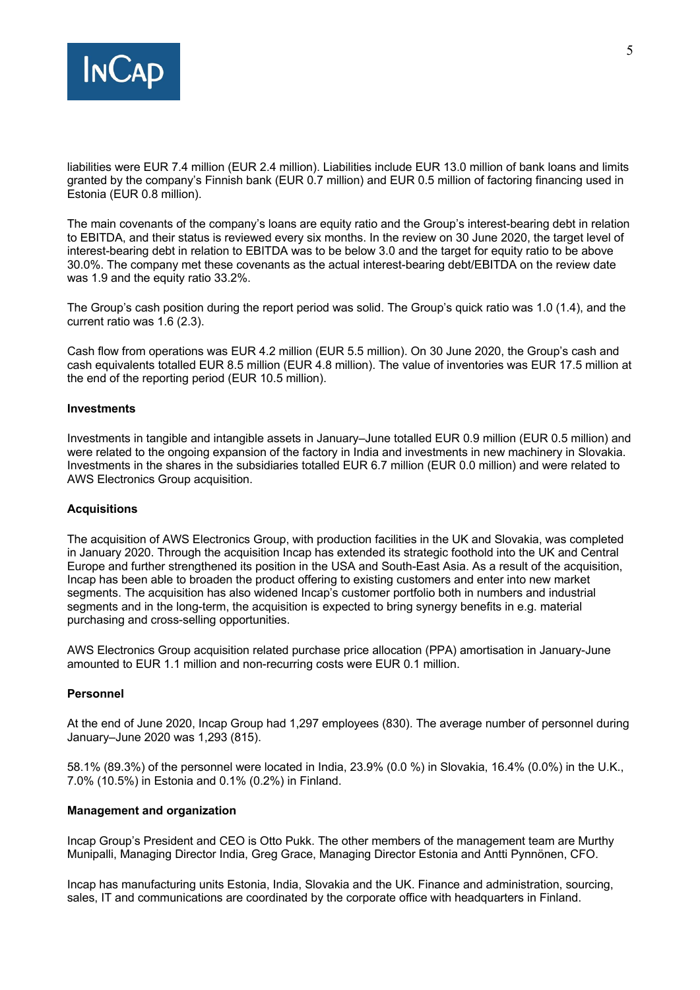

liabilities were EUR 7.4 million (EUR 2.4 million). Liabilities include EUR 13.0 million of bank loans and limits granted by the company's Finnish bank (EUR 0.7 million) and EUR 0.5 million of factoring financing used in Estonia (EUR 0.8 million).

The main covenants of the company's loans are equity ratio and the Group's interest-bearing debt in relation to EBITDA, and their status is reviewed every six months. In the review on 30 June 2020, the target level of interest-bearing debt in relation to EBITDA was to be below 3.0 and the target for equity ratio to be above 30.0%. The company met these covenants as the actual interest-bearing debt/EBITDA on the review date was 1.9 and the equity ratio 33.2%.

The Group's cash position during the report period was solid. The Group's quick ratio was 1.0 (1.4), and the current ratio was 1.6 (2.3).

Cash flow from operations was EUR 4.2 million (EUR 5.5 million). On 30 June 2020, the Group's cash and cash equivalents totalled EUR 8.5 million (EUR 4.8 million). The value of inventories was EUR 17.5 million at the end of the reporting period (EUR 10.5 million).

#### **Investments**

Investments in tangible and intangible assets in January–June totalled EUR 0.9 million (EUR 0.5 million) and were related to the ongoing expansion of the factory in India and investments in new machinery in Slovakia. Investments in the shares in the subsidiaries totalled EUR 6.7 million (EUR 0.0 million) and were related to AWS Electronics Group acquisition.

#### **Acquisitions**

The acquisition of AWS Electronics Group, with production facilities in the UK and Slovakia, was completed in January 2020. Through the acquisition Incap has extended its strategic foothold into the UK and Central Europe and further strengthened its position in the USA and South-East Asia. As a result of the acquisition, Incap has been able to broaden the product offering to existing customers and enter into new market segments. The acquisition has also widened Incap's customer portfolio both in numbers and industrial segments and in the long-term, the acquisition is expected to bring synergy benefits in e.g. material purchasing and cross-selling opportunities.

AWS Electronics Group acquisition related purchase price allocation (PPA) amortisation in January-June amounted to EUR 1.1 million and non-recurring costs were EUR 0.1 million.

### **Personnel**

At the end of June 2020, Incap Group had 1,297 employees (830). The average number of personnel during January–June 2020 was 1,293 (815).

58.1% (89.3%) of the personnel were located in India, 23.9% (0.0 %) in Slovakia, 16.4% (0.0%) in the U.K., 7.0% (10.5%) in Estonia and 0.1% (0.2%) in Finland.

#### **Management and organization**

Incap Group's President and CEO is Otto Pukk. The other members of the management team are Murthy Munipalli, Managing Director India, Greg Grace, Managing Director Estonia and Antti Pynnönen, CFO.

Incap has manufacturing units Estonia, India, Slovakia and the UK. Finance and administration, sourcing, sales, IT and communications are coordinated by the corporate office with headquarters in Finland.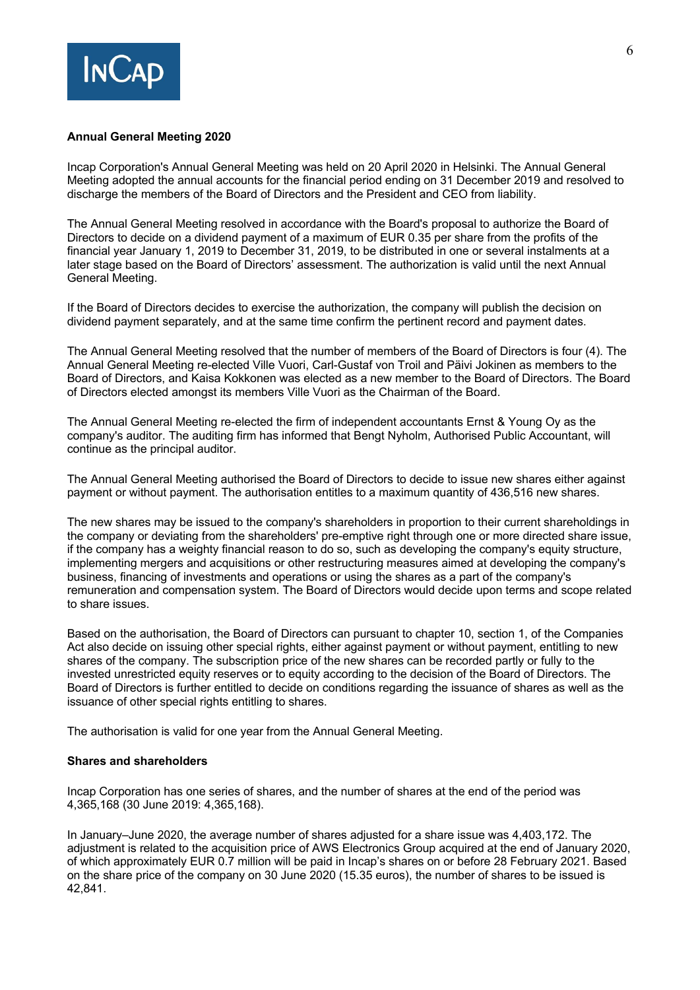

### **Annual General Meeting 2020**

Incap Corporation's Annual General Meeting was held on 20 April 2020 in Helsinki. The Annual General Meeting adopted the annual accounts for the financial period ending on 31 December 2019 and resolved to discharge the members of the Board of Directors and the President and CEO from liability.

The Annual General Meeting resolved in accordance with the Board's proposal to authorize the Board of Directors to decide on a dividend payment of a maximum of EUR 0.35 per share from the profits of the financial year January 1, 2019 to December 31, 2019, to be distributed in one or several instalments at a later stage based on the Board of Directors' assessment. The authorization is valid until the next Annual General Meeting.

If the Board of Directors decides to exercise the authorization, the company will publish the decision on dividend payment separately, and at the same time confirm the pertinent record and payment dates.

The Annual General Meeting resolved that the number of members of the Board of Directors is four (4). The Annual General Meeting re-elected Ville Vuori, Carl-Gustaf von Troil and Päivi Jokinen as members to the Board of Directors, and Kaisa Kokkonen was elected as a new member to the Board of Directors. The Board of Directors elected amongst its members Ville Vuori as the Chairman of the Board.

The Annual General Meeting re-elected the firm of independent accountants Ernst & Young Oy as the company's auditor. The auditing firm has informed that Bengt Nyholm, Authorised Public Accountant, will continue as the principal auditor.

The Annual General Meeting authorised the Board of Directors to decide to issue new shares either against payment or without payment. The authorisation entitles to a maximum quantity of 436,516 new shares.

The new shares may be issued to the company's shareholders in proportion to their current shareholdings in the company or deviating from the shareholders' pre-emptive right through one or more directed share issue, if the company has a weighty financial reason to do so, such as developing the company's equity structure, implementing mergers and acquisitions or other restructuring measures aimed at developing the company's business, financing of investments and operations or using the shares as a part of the company's remuneration and compensation system. The Board of Directors would decide upon terms and scope related to share issues.

Based on the authorisation, the Board of Directors can pursuant to chapter 10, section 1, of the Companies Act also decide on issuing other special rights, either against payment or without payment, entitling to new shares of the company. The subscription price of the new shares can be recorded partly or fully to the invested unrestricted equity reserves or to equity according to the decision of the Board of Directors. The Board of Directors is further entitled to decide on conditions regarding the issuance of shares as well as the issuance of other special rights entitling to shares.

The authorisation is valid for one year from the Annual General Meeting.

#### **Shares and shareholders**

Incap Corporation has one series of shares, and the number of shares at the end of the period was 4,365,168 (30 June 2019: 4,365,168).

In January–June 2020, the average number of shares adjusted for a share issue was 4,403,172. The adjustment is related to the acquisition price of AWS Electronics Group acquired at the end of January 2020, of which approximately EUR 0.7 million will be paid in Incap's shares on or before 28 February 2021. Based on the share price of the company on 30 June 2020 (15.35 euros), the number of shares to be issued is 42,841.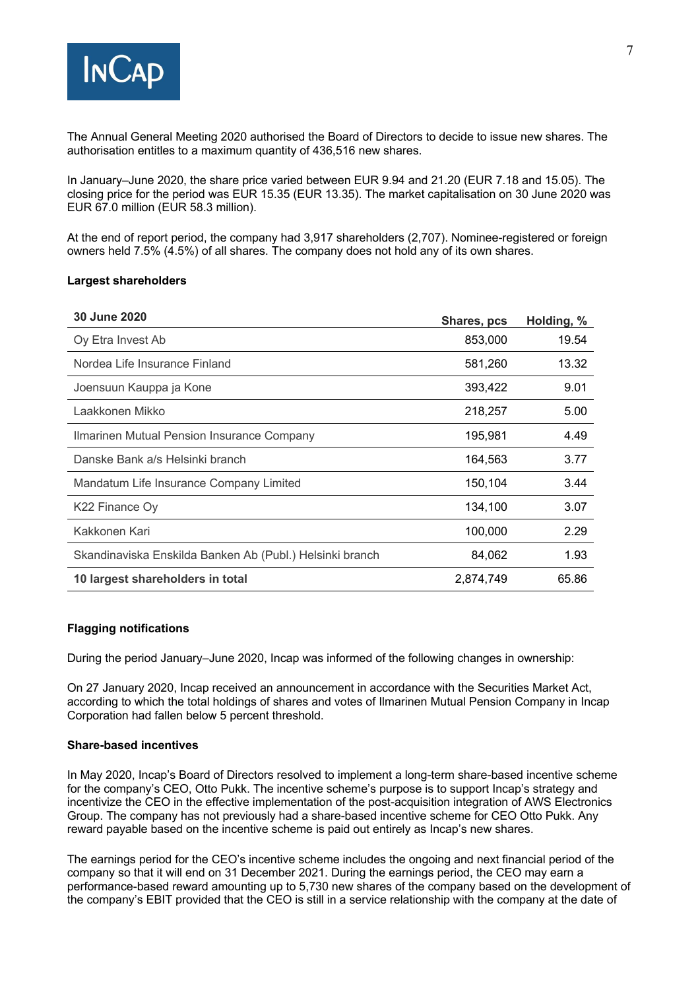

The Annual General Meeting 2020 authorised the Board of Directors to decide to issue new shares. The authorisation entitles to a maximum quantity of 436,516 new shares.

In January–June 2020, the share price varied between EUR 9.94 and 21.20 (EUR 7.18 and 15.05). The closing price for the period was EUR 15.35 (EUR 13.35). The market capitalisation on 30 June 2020 was EUR 67.0 million (EUR 58.3 million).

At the end of report period, the company had 3,917 shareholders (2,707). Nominee-registered or foreign owners held 7.5% (4.5%) of all shares. The company does not hold any of its own shares.

#### **Largest shareholders**

| 30 June 2020                                             | Shares, pcs | Holding, % |
|----------------------------------------------------------|-------------|------------|
| Oy Etra Invest Ab                                        | 853,000     | 19.54      |
| Nordea Life Insurance Finland                            | 581,260     | 13.32      |
| Joensuun Kauppa ja Kone                                  | 393,422     | 9.01       |
| Laakkonen Mikko                                          | 218,257     | 5.00       |
| Ilmarinen Mutual Pension Insurance Company               | 195,981     | 4.49       |
| Danske Bank a/s Helsinki branch                          | 164,563     | 3.77       |
| Mandatum Life Insurance Company Limited                  | 150,104     | 3.44       |
| K22 Finance Oy                                           | 134,100     | 3.07       |
| Kakkonen Kari                                            | 100,000     | 2.29       |
| Skandinaviska Enskilda Banken Ab (Publ.) Helsinki branch | 84,062      | 1.93       |
| 10 largest shareholders in total                         | 2,874,749   | 65.86      |
|                                                          |             |            |

#### **Flagging notifications**

During the period January–June 2020, Incap was informed of the following changes in ownership:

On 27 January 2020, Incap received an announcement in accordance with the Securities Market Act, according to which the total holdings of shares and votes of Ilmarinen Mutual Pension Company in Incap Corporation had fallen below 5 percent threshold.

#### **Share-based incentives**

In May 2020, Incap's Board of Directors resolved to implement a long-term share-based incentive scheme for the company's CEO, Otto Pukk. The incentive scheme's purpose is to support Incap's strategy and incentivize the CEO in the effective implementation of the post-acquisition integration of AWS Electronics Group. The company has not previously had a share-based incentive scheme for CEO Otto Pukk. Any reward payable based on the incentive scheme is paid out entirely as Incap's new shares.

The earnings period for the CEO's incentive scheme includes the ongoing and next financial period of the company so that it will end on 31 December 2021. During the earnings period, the CEO may earn a performance-based reward amounting up to 5,730 new shares of the company based on the development of the company's EBIT provided that the CEO is still in a service relationship with the company at the date of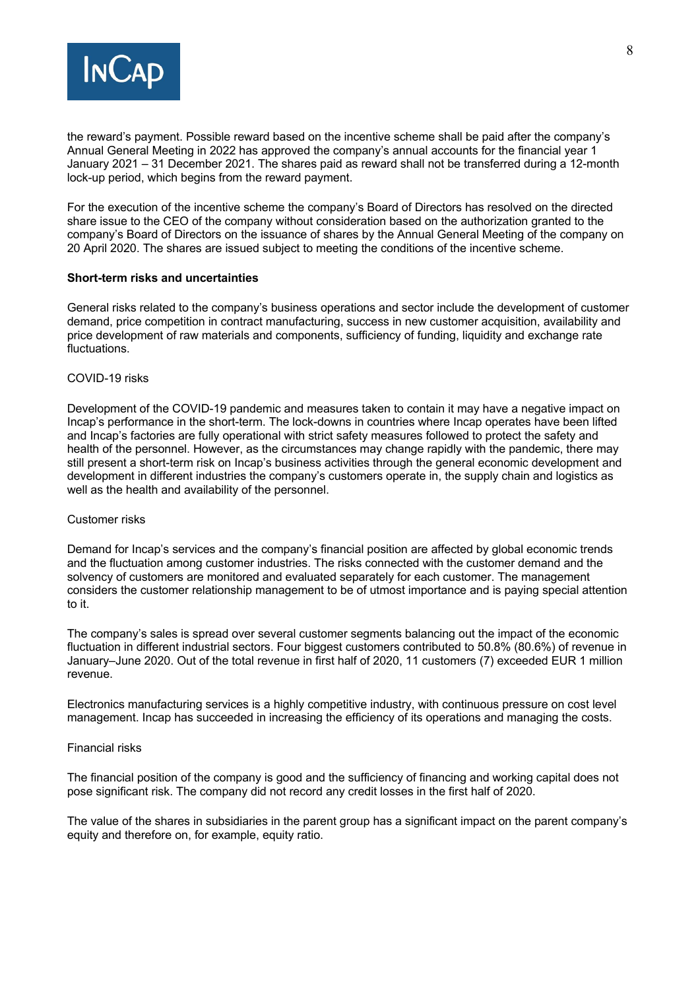

the reward's payment. Possible reward based on the incentive scheme shall be paid after the company's Annual General Meeting in 2022 has approved the company's annual accounts for the financial year 1 January 2021 – 31 December 2021. The shares paid as reward shall not be transferred during a 12-month lock-up period, which begins from the reward payment.

For the execution of the incentive scheme the company's Board of Directors has resolved on the directed share issue to the CEO of the company without consideration based on the authorization granted to the company's Board of Directors on the issuance of shares by the Annual General Meeting of the company on 20 April 2020. The shares are issued subject to meeting the conditions of the incentive scheme.

### **Short-term risks and uncertainties**

General risks related to the company's business operations and sector include the development of customer demand, price competition in contract manufacturing, success in new customer acquisition, availability and price development of raw materials and components, sufficiency of funding, liquidity and exchange rate fluctuations.

### COVID-19 risks

Development of the COVID-19 pandemic and measures taken to contain it may have a negative impact on Incap's performance in the short-term. The lock-downs in countries where Incap operates have been lifted and Incap's factories are fully operational with strict safety measures followed to protect the safety and health of the personnel. However, as the circumstances may change rapidly with the pandemic, there may still present a short-term risk on Incap's business activities through the general economic development and development in different industries the company's customers operate in, the supply chain and logistics as well as the health and availability of the personnel.

#### Customer risks

Demand for Incap's services and the company's financial position are affected by global economic trends and the fluctuation among customer industries. The risks connected with the customer demand and the solvency of customers are monitored and evaluated separately for each customer. The management considers the customer relationship management to be of utmost importance and is paying special attention to it.

The company's sales is spread over several customer segments balancing out the impact of the economic fluctuation in different industrial sectors. Four biggest customers contributed to 50.8% (80.6%) of revenue in January–June 2020. Out of the total revenue in first half of 2020, 11 customers (7) exceeded EUR 1 million revenue.

Electronics manufacturing services is a highly competitive industry, with continuous pressure on cost level management. Incap has succeeded in increasing the efficiency of its operations and managing the costs.

#### Financial risks

The financial position of the company is good and the sufficiency of financing and working capital does not pose significant risk. The company did not record any credit losses in the first half of 2020.

The value of the shares in subsidiaries in the parent group has a significant impact on the parent company's equity and therefore on, for example, equity ratio.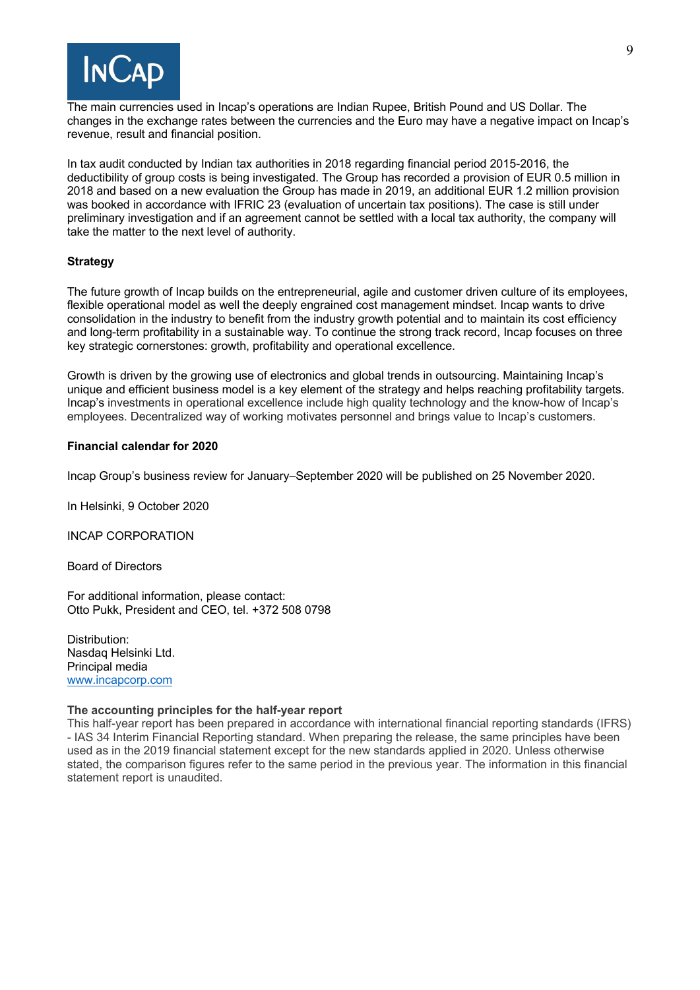

The main currencies used in Incap's operations are Indian Rupee, British Pound and US Dollar. The changes in the exchange rates between the currencies and the Euro may have a negative impact on Incap's revenue, result and financial position.

In tax audit conducted by Indian tax authorities in 2018 regarding financial period 2015-2016, the deductibility of group costs is being investigated. The Group has recorded a provision of EUR 0.5 million in 2018 and based on a new evaluation the Group has made in 2019, an additional EUR 1.2 million provision was booked in accordance with IFRIC 23 (evaluation of uncertain tax positions). The case is still under preliminary investigation and if an agreement cannot be settled with a local tax authority, the company will take the matter to the next level of authority.

### **Strategy**

The future growth of Incap builds on the entrepreneurial, agile and customer driven culture of its employees, flexible operational model as well the deeply engrained cost management mindset. Incap wants to drive consolidation in the industry to benefit from the industry growth potential and to maintain its cost efficiency and long-term profitability in a sustainable way. To continue the strong track record, Incap focuses on three key strategic cornerstones: growth, profitability and operational excellence.

Growth is driven by the growing use of electronics and global trends in outsourcing. Maintaining Incap's unique and efficient business model is a key element of the strategy and helps reaching profitability targets. Incap's investments in operational excellence include high quality technology and the know-how of Incap's employees. Decentralized way of working motivates personnel and brings value to Incap's customers.

#### **Financial calendar for 2020**

Incap Group's business review for January–September 2020 will be published on 25 November 2020.

In Helsinki, 9 October 2020

INCAP CORPORATION

Board of Directors

For additional information, please contact: Otto Pukk, President and CEO, tel. +372 508 0798

Distribution: Nasdaq Helsinki Ltd. Principal media www.incapcorp.com

#### **The accounting principles for the half-year report**

This half-year report has been prepared in accordance with international financial reporting standards (IFRS) - IAS 34 Interim Financial Reporting standard. When preparing the release, the same principles have been used as in the 2019 financial statement except for the new standards applied in 2020. Unless otherwise stated, the comparison figures refer to the same period in the previous year. The information in this financial statement report is unaudited.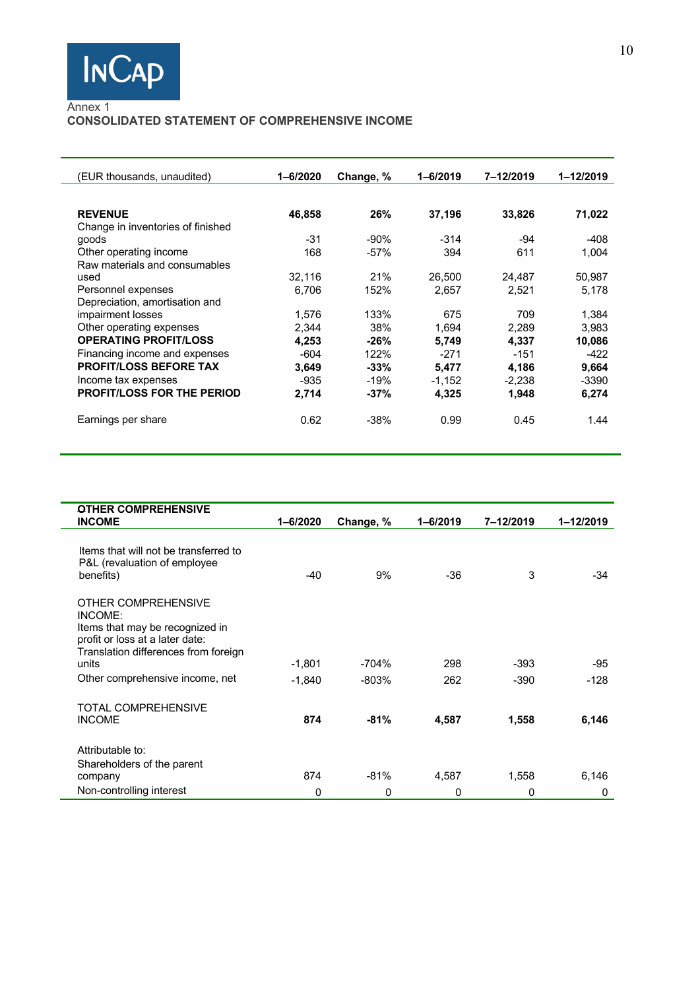

## Annex 1

## **CONSOLIDATED STATEMENT OF COMPREHENSIVE INCOME**

| (EUR thousands, unaudited)        | $1 - 6/2020$ | Change, % | $1 - 6/2019$ | 7-12/2019 | 1-12/2019 |
|-----------------------------------|--------------|-----------|--------------|-----------|-----------|
|                                   |              |           |              |           |           |
| <b>REVENUE</b>                    | 46,858       | 26%       | 37,196       | 33,826    | 71,022    |
| Change in inventories of finished |              |           |              |           |           |
| goods                             | $-31$        | $-90%$    | $-314$       | $-94$     | $-408$    |
| Other operating income            | 168          | $-57%$    | 394          | 611       | 1,004     |
| Raw materials and consumables     |              |           |              |           |           |
| used                              | 32,116       | 21%       | 26,500       | 24,487    | 50,987    |
| Personnel expenses                | 6.706        | 152%      | 2,657        | 2.521     | 5,178     |
| Depreciation, amortisation and    |              |           |              |           |           |
| impairment losses                 | 1,576        | 133%      | 675          | 709       | 1,384     |
| Other operating expenses          | 2,344        | 38%       | 1,694        | 2,289     | 3,983     |
| <b>OPERATING PROFIT/LOSS</b>      | 4.253        | $-26%$    | 5,749        | 4.337     | 10,086    |
| Financing income and expenses     | $-604$       | 122%      | $-271$       | $-151$    | $-422$    |
| <b>PROFIT/LOSS BEFORE TAX</b>     | 3.649        | $-33%$    | 5,477        | 4,186     | 9,664     |
| Income tax expenses               | -935         | $-19%$    | $-1.152$     | $-2.238$  | $-3390$   |
| <b>PROFIT/LOSS FOR THE PERIOD</b> | 2,714        | -37%      | 4,325        | 1,948     | 6,274     |
| Earnings per share                | 0.62         | $-38%$    | 0.99         | 0.45      | 1.44      |

| <b>OTHER COMPREHENSIVE</b><br><b>INCOME</b> | $1 - 6/2020$ | Change, % | $1 - 6/2019$ | 7-12/2019 | 1-12/2019 |
|---------------------------------------------|--------------|-----------|--------------|-----------|-----------|
|                                             |              |           |              |           |           |
| Items that will not be transferred to       |              |           |              |           |           |
| P&L (revaluation of employee                |              |           |              |           |           |
| benefits)                                   | $-40$        | 9%        | -36          | 3         | $-34$     |
| OTHER COMPREHENSIVE                         |              |           |              |           |           |
| INCOME:                                     |              |           |              |           |           |
| Items that may be recognized in             |              |           |              |           |           |
| profit or loss at a later date:             |              |           |              |           |           |
| Translation differences from foreign        |              |           |              |           |           |
| units                                       | $-1.801$     | $-704%$   | 298          | $-393$    | -95       |
| Other comprehensive income, net             | $-1.840$     | $-803%$   | 262          | $-390$    | $-128$    |
| TOTAL COMPREHENSIVE                         |              |           |              |           |           |
| <b>INCOME</b>                               | 874          | $-81%$    | 4,587        | 1,558     | 6,146     |
| Attributable to:                            |              |           |              |           |           |
| Shareholders of the parent                  |              |           |              |           |           |
| company                                     | 874          | $-81%$    | 4,587        | 1,558     | 6,146     |
| Non-controlling interest                    | $\Omega$     | 0         | 0            | 0         | 0         |
|                                             |              |           |              |           |           |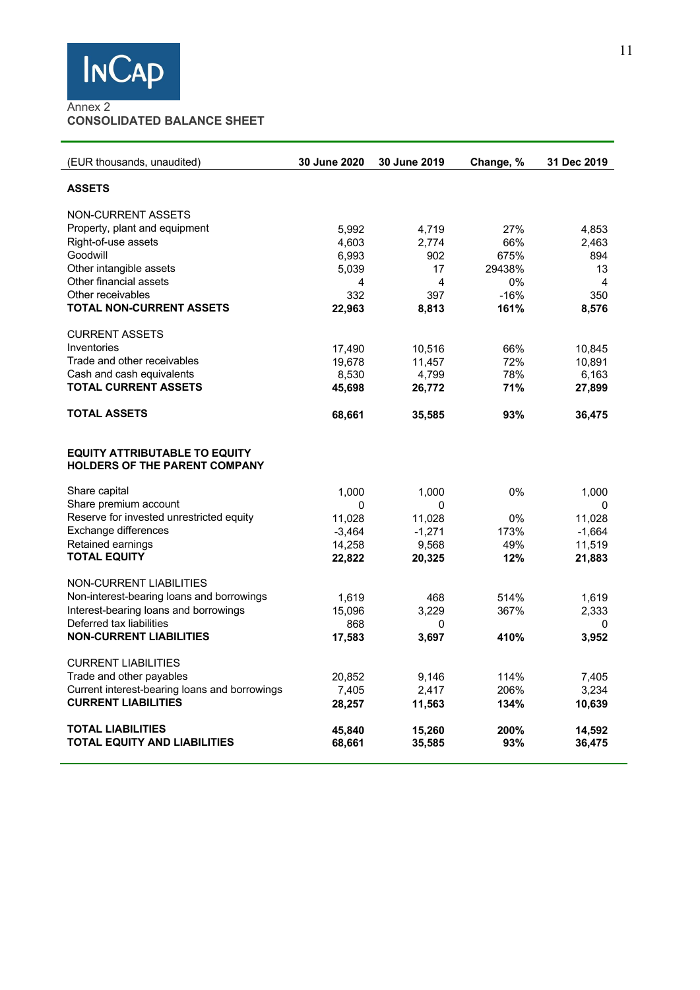

# Annex 2 **CONSOLIDATED BALANCE SHEET**

| (EUR thousands, unaudited)                                                   | 30 June 2020 | 30 June 2019 | Change, % | 31 Dec 2019 |
|------------------------------------------------------------------------------|--------------|--------------|-----------|-------------|
| <b>ASSETS</b>                                                                |              |              |           |             |
| NON-CURRENT ASSETS                                                           |              |              |           |             |
| Property, plant and equipment                                                | 5,992        | 4,719        | 27%       | 4,853       |
| Right-of-use assets                                                          | 4,603        | 2,774        | 66%       | 2,463       |
| Goodwill                                                                     | 6,993        | 902          | 675%      | 894         |
| Other intangible assets                                                      | 5,039        | 17           | 29438%    | 13          |
| Other financial assets                                                       | 4            | 4            | $0\%$     | 4           |
| Other receivables                                                            | 332          | 397          | $-16%$    | 350         |
| <b>TOTAL NON-CURRENT ASSETS</b>                                              | 22,963       | 8,813        | 161%      | 8,576       |
| <b>CURRENT ASSETS</b>                                                        |              |              |           |             |
| Inventories                                                                  | 17,490       | 10,516       | 66%       | 10,845      |
| Trade and other receivables                                                  | 19,678       | 11,457       | 72%       | 10,891      |
| Cash and cash equivalents                                                    | 8,530        | 4,799        | 78%       | 6,163       |
| <b>TOTAL CURRENT ASSETS</b>                                                  | 45,698       | 26,772       | 71%       | 27,899      |
| TOTAL ASSETS                                                                 | 68,661       | 35,585       | 93%       | 36,475      |
| <b>EQUITY ATTRIBUTABLE TO EQUITY</b><br><b>HOLDERS OF THE PARENT COMPANY</b> |              |              |           |             |
| Share capital                                                                | 1,000        | 1,000        | 0%        | 1,000       |
| Share premium account                                                        | 0            | 0            |           | 0           |
| Reserve for invested unrestricted equity                                     | 11,028       | 11,028       | 0%        | 11,028      |
| Exchange differences                                                         | $-3,464$     | $-1,271$     | 173%      | $-1,664$    |
| Retained earnings                                                            | 14,258       | 9,568        | 49%       | 11,519      |
| <b>TOTAL EQUITY</b>                                                          | 22,822       | 20,325       | 12%       | 21,883      |
| NON-CURRENT LIABILITIES                                                      |              |              |           |             |
| Non-interest-bearing loans and borrowings                                    | 1,619        | 468          | 514%      | 1,619       |
| Interest-bearing loans and borrowings                                        | 15,096       | 3,229        | 367%      | 2,333       |
| Deferred tax liabilities                                                     | 868          | 0            |           | 0           |
| <b>NON-CURRENT LIABILITIES</b>                                               | 17,583       | 3,697        | 410%      | 3,952       |
| <b>CURRENT LIABILITIES</b>                                                   |              |              |           |             |
| Trade and other payables                                                     | 20,852       | 9,146        | 114%      | 7,405       |
| Current interest-bearing loans and borrowings                                | 7,405        | 2,417        | 206%      | 3,234       |
| <b>CURRENT LIABILITIES</b>                                                   | 28,257       | 11,563       | 134%      | 10,639      |
| <b>TOTAL LIABILITIES</b>                                                     | 45,840       | 15,260       | 200%      | 14,592      |
| <b>TOTAL EQUITY AND LIABILITIES</b>                                          | 68,661       | 35,585       | 93%       | 36,475      |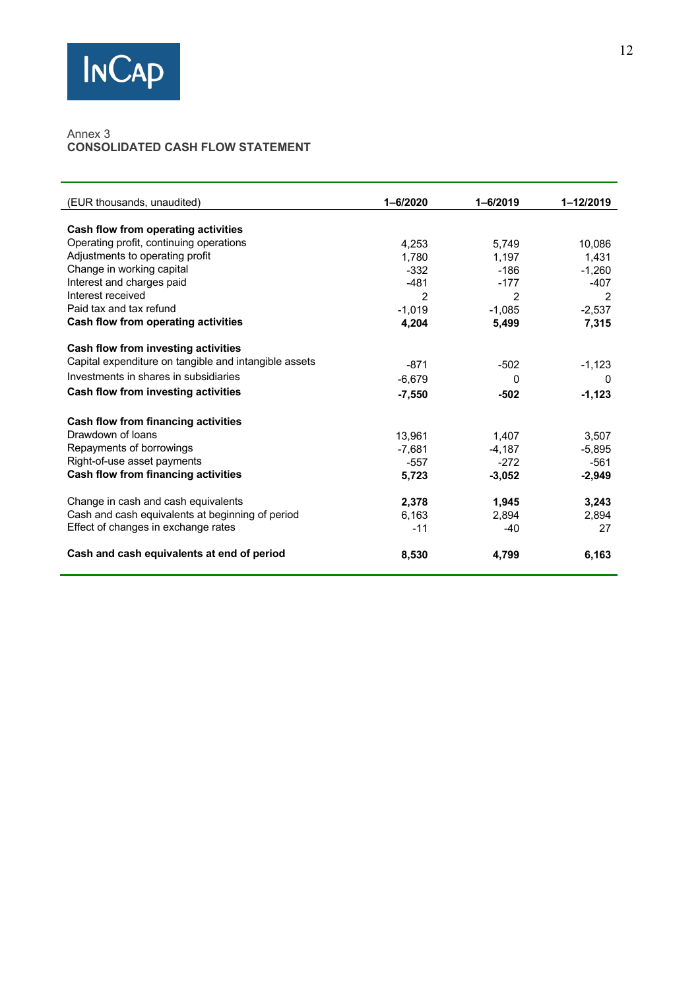

#### Annex 3 **CONSOLIDATED CASH FLOW STATEMENT**

| (EUR thousands, unaudited)                            | $1 - 6/2020$  | $1 - 6/2019$ | 1-12/2019 |
|-------------------------------------------------------|---------------|--------------|-----------|
| <b>Cash flow from operating activities</b>            |               |              |           |
| Operating profit, continuing operations               | 4,253         | 5,749        | 10,086    |
| Adjustments to operating profit                       | 1.780         | 1,197        | 1.431     |
| Change in working capital                             | $-332$        | -186         | $-1.260$  |
| Interest and charges paid                             | $-481$        | $-177$       | $-407$    |
| Interest received                                     | $\mathcal{P}$ | 2            | 2         |
| Paid tax and tax refund                               | $-1.019$      | $-1,085$     | $-2.537$  |
| Cash flow from operating activities                   | 4,204         | 5,499        | 7,315     |
| Cash flow from investing activities                   |               |              |           |
| Capital expenditure on tangible and intangible assets | $-871$        | $-502$       | $-1,123$  |
| Investments in shares in subsidiaries                 | $-6.679$      | <sup>0</sup> | 0         |
| Cash flow from investing activities                   | $-7.550$      | $-502$       | $-1,123$  |
| Cash flow from financing activities                   |               |              |           |
| Drawdown of loans                                     | 13.961        | 1.407        | 3.507     |
| Repayments of borrowings                              | $-7,681$      | $-4,187$     | $-5,895$  |
| Right-of-use asset payments                           | $-557$        | $-272$       | $-561$    |
| <b>Cash flow from financing activities</b>            | 5,723         | $-3.052$     | $-2,949$  |
| Change in cash and cash equivalents                   | 2,378         | 1,945        | 3,243     |
| Cash and cash equivalents at beginning of period      | 6,163         | 2,894        | 2,894     |
| Effect of changes in exchange rates                   | $-11$         | $-40$        | 27        |
| Cash and cash equivalents at end of period            | 8,530         | 4.799        | 6.163     |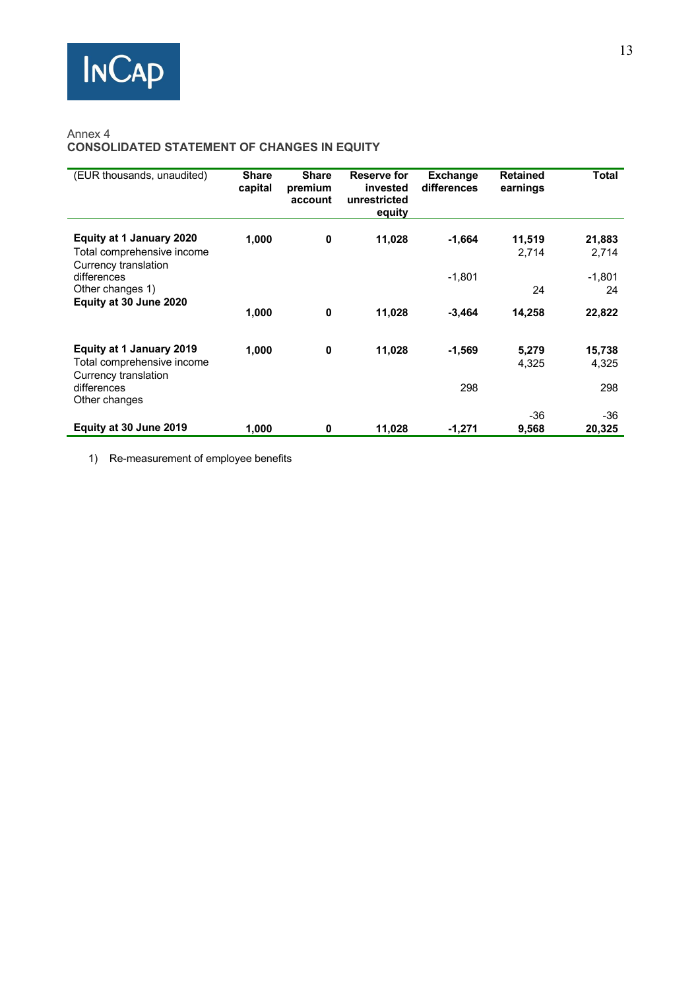## Annex 4 **CONSOLIDATED STATEMENT OF CHANGES IN EQUITY**

| (EUR thousands, unaudited)                                                            | <b>Share</b><br>capital | <b>Share</b><br>premium<br>account | Reserve for<br>invested<br>unrestricted<br>equity | <b>Exchange</b><br>differences | <b>Retained</b><br>earnings | <b>Total</b>    |
|---------------------------------------------------------------------------------------|-------------------------|------------------------------------|---------------------------------------------------|--------------------------------|-----------------------------|-----------------|
| Equity at 1 January 2020<br>Total comprehensive income<br>Currency translation        | 1,000                   | $\bf{0}$                           | 11,028                                            | $-1,664$                       | 11,519<br>2,714             | 21,883<br>2,714 |
| differences<br>Other changes 1)                                                       |                         |                                    |                                                   | $-1,801$                       | 24                          | $-1,801$<br>24  |
| Equity at 30 June 2020                                                                | 1,000                   | $\bf{0}$                           | 11,028                                            | $-3,464$                       | 14,258                      | 22,822          |
| <b>Equity at 1 January 2019</b><br>Total comprehensive income<br>Currency translation | 1,000                   | $\bf{0}$                           | 11,028                                            | $-1,569$                       | 5,279<br>4,325              | 15,738<br>4,325 |
| differences<br>Other changes                                                          |                         |                                    |                                                   | 298                            |                             | 298             |
| Equity at 30 June 2019                                                                | 1,000                   | 0                                  | 11,028                                            | -1,271                         | -36<br>9,568                | $-36$<br>20,325 |

1) Re-measurement of employee benefits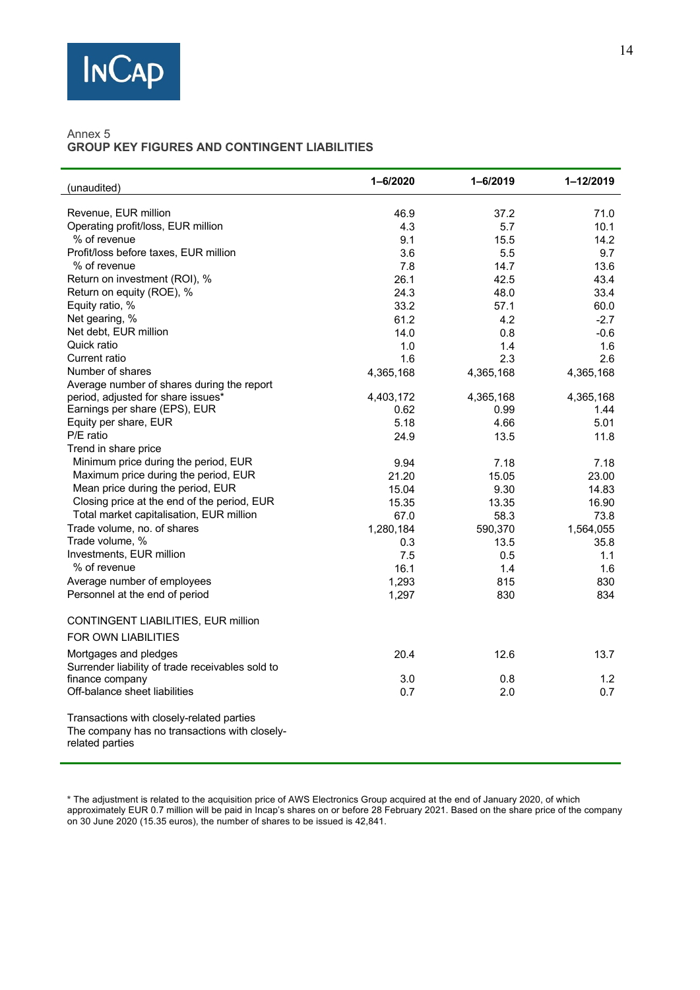

## Annex 5 **GROUP KEY FIGURES AND CONTINGENT LIABILITIES**

| (unaudited)                                                      | $1 - 6/2020$ | $1 - 6/2019$ | 1-12/2019   |
|------------------------------------------------------------------|--------------|--------------|-------------|
|                                                                  |              |              |             |
| Revenue, EUR million<br>Operating profit/loss, EUR million       | 46.9         | 37.2         | 71.0        |
| % of revenue                                                     | 4.3          | 5.7<br>15.5  | 10.1        |
| Profit/loss before taxes, EUR million                            | 9.1<br>3.6   | 5.5          | 14.2<br>9.7 |
| % of revenue                                                     | 7.8          | 14.7         | 13.6        |
| Return on investment (ROI), %                                    | 26.1         | 42.5         | 43.4        |
| Return on equity (ROE), %                                        | 24.3         | 48.0         | 33.4        |
| Equity ratio, %                                                  | 33.2         | 57.1         | 60.0        |
| Net gearing, %                                                   | 61.2         | 4.2          | $-2.7$      |
| Net debt, EUR million                                            | 14.0         | 0.8          | $-0.6$      |
| Quick ratio                                                      | 1.0          | 1.4          | 1.6         |
| Current ratio                                                    | 1.6          | 2.3          | 2.6         |
| Number of shares                                                 | 4,365,168    | 4,365,168    | 4,365,168   |
| Average number of shares during the report                       |              |              |             |
| period, adjusted for share issues*                               | 4,403,172    | 4,365,168    | 4,365,168   |
| Earnings per share (EPS), EUR                                    | 0.62         | 0.99         | 1.44        |
| Equity per share, EUR                                            | 5.18         | 4.66         | 5.01        |
| P/E ratio                                                        | 24.9         | 13.5         | 11.8        |
| Trend in share price                                             |              |              |             |
| Minimum price during the period, EUR                             | 9.94         | 7.18         | 7.18        |
| Maximum price during the period, EUR                             | 21.20        | 15.05        | 23.00       |
| Mean price during the period, EUR                                | 15.04        | 9.30         | 14.83       |
| Closing price at the end of the period, EUR                      | 15.35        | 13.35        | 16.90       |
| Total market capitalisation, EUR million                         | 67.0         | 58.3         | 73.8        |
| Trade volume, no. of shares                                      | 1,280,184    | 590,370      | 1,564,055   |
| Trade volume, %                                                  | 0.3          | 13.5         | 35.8        |
| Investments, EUR million                                         | 7.5          | 0.5          | 1.1         |
| % of revenue                                                     | 16.1         | 1.4          | 1.6         |
| Average number of employees                                      | 1,293        | 815          | 830         |
| Personnel at the end of period                                   | 1,297        | 830          | 834         |
| CONTINGENT LIABILITIES, EUR million                              |              |              |             |
| <b>FOR OWN LIABILITIES</b>                                       |              |              |             |
| Mortgages and pledges                                            | 20.4         | 12.6         | 13.7        |
| Surrender liability of trade receivables sold to                 |              |              |             |
| finance company                                                  | 3.0          | 0.8          | 1.2         |
| Off-balance sheet liabilities                                    | 0.7          | 2.0          | 0.7         |
| Transactions with closely-related parties                        |              |              |             |
| The company has no transactions with closely-<br>related parties |              |              |             |

**\*** The adjustment is related to the acquisition price of AWS Electronics Group acquired at the end of January 2020, of which approximately EUR 0.7 million will be paid in Incap's shares on or before 28 February 2021. Based on the share price of the company on 30 June 2020 (15.35 euros), the number of shares to be issued is 42,841.